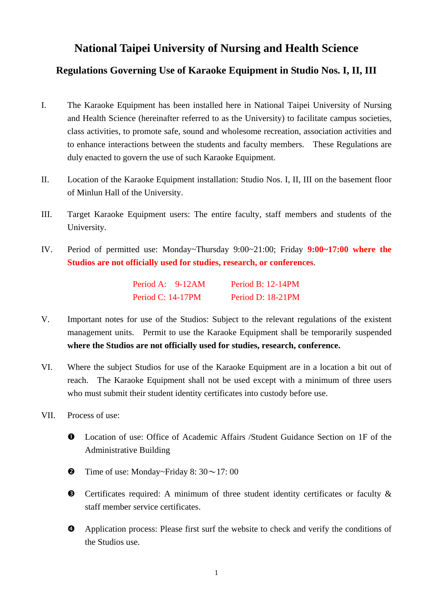## **National Taipei University of Nursing and Health Science**

## **Regulations Governing Use of Karaoke Equipment in Studio Nos. I, II, III**

- I. The Karaoke Equipment has been installed here in National Taipei University of Nursing and Health Science (hereinafter referred to as the University) to facilitate campus societies, class activities, to promote safe, sound and wholesome recreation, association activities and to enhance interactions between the students and faculty members. These Regulations are duly enacted to govern the use of such Karaoke Equipment.
- II. Location of the Karaoke Equipment installation: Studio Nos. I, II, III on the basement floor of Minlun Hall of the University.
- III. Target Karaoke Equipment users: The entire faculty, staff members and students of the University.
- IV. Period of permitted use: Monday~Thursday 9:00~21:00; Friday **9:00~17:00 where the Studios are not officially used for studies, research, or conferences**.

| Period A: 9-12AM         | Period B: $12-14$ PM |
|--------------------------|----------------------|
| <b>Period C: 14-17PM</b> | Period D: 18-21PM    |

- V. Important notes for use of the Studios: Subject to the relevant regulations of the existent management units. Permit to use the Karaoke Equipment shall be temporarily suspended **where the Studios are not officially used for studies, research, conference.**
- VI. Where the subject Studios for use of the Karaoke Equipment are in a location a bit out of reach. The Karaoke Equipment shall not be used except with a minimum of three users who must submit their student identity certificates into custody before use.
- VII. Process of use:
	- n Location of use: Office of Academic Affairs /Student Guidance Section on 1F of the Administrative Building
	- $\bullet$  Time of use: Monday~Friday 8: 30~17: 00
	- $\bullet$  Certificates required: A minimum of three student identity certificates or faculty  $\&$ staff member service certificates.
	- $\bullet$  Application process: Please first surf the website to check and verify the conditions of the Studios use.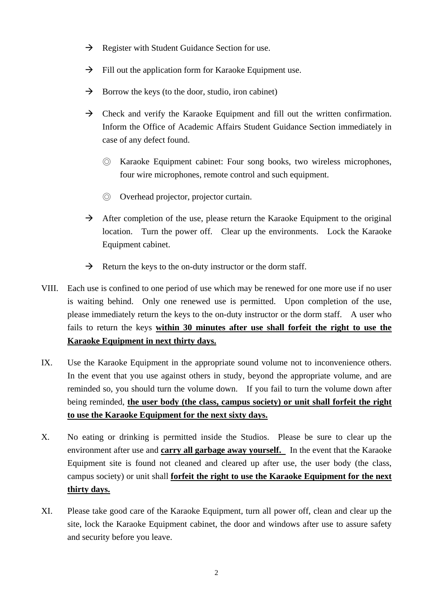- $\rightarrow$  Register with Student Guidance Section for use.
- $\rightarrow$  Fill out the application form for Karaoke Equipment use.
- $\rightarrow$  Borrow the keys (to the door, studio, iron cabinet)
- $\rightarrow$  Check and verify the Karaoke Equipment and fill out the written confirmation. Inform the Office of Academic Affairs Student Guidance Section immediately in case of any defect found.
	- ◎ Karaoke Equipment cabinet: Four song books, two wireless microphones, four wire microphones, remote control and such equipment.
	- ◎ Overhead projector, projector curtain.
- $\rightarrow$  After completion of the use, please return the Karaoke Equipment to the original location. Turn the power off. Clear up the environments. Lock the Karaoke Equipment cabinet.
- $\rightarrow$  Return the keys to the on-duty instructor or the dorm staff.
- VIII. Each use is confined to one period of use which may be renewed for one more use if no user is waiting behind. Only one renewed use is permitted. Upon completion of the use, please immediately return the keys to the on-duty instructor or the dorm staff. A user who fails to return the keys **within 30 minutes after use shall forfeit the right to use the Karaoke Equipment in next thirty days.**
- IX. Use the Karaoke Equipment in the appropriate sound volume not to inconvenience others. In the event that you use against others in study, beyond the appropriate volume, and are reminded so, you should turn the volume down. If you fail to turn the volume down after being reminded, **the user body (the class, campus society) or unit shall forfeit the right to use the Karaoke Equipment for the next sixty days.**
- X. No eating or drinking is permitted inside the Studios. Please be sure to clear up the environment after use and **carry all garbage away yourself.** In the event that the Karaoke Equipment site is found not cleaned and cleared up after use, the user body (the class, campus society) or unit shall **forfeit the right to use the Karaoke Equipment for the next thirty days.**
- XI. Please take good care of the Karaoke Equipment, turn all power off, clean and clear up the site, lock the Karaoke Equipment cabinet, the door and windows after use to assure safety and security before you leave.